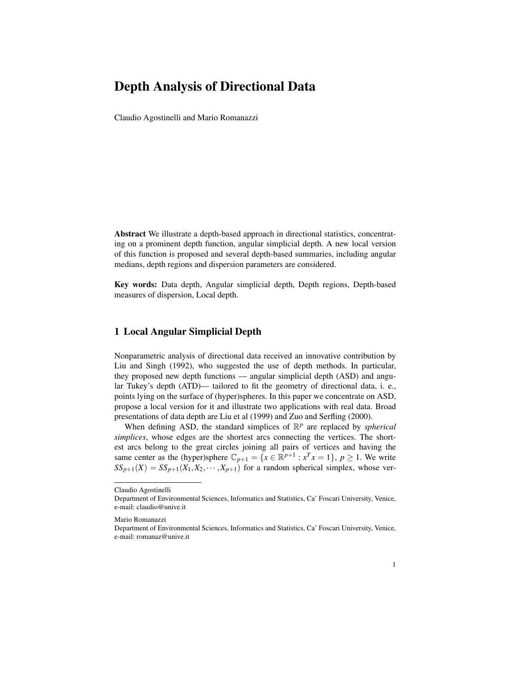## Depth Analysis of Directional Data

Claudio Agostinelli and Mario Romanazzi

Abstract We illustrate a depth-based approach in directional statistics, concentrating on a prominent depth function, angular simplicial depth. A new local version of this function is proposed and several depth-based summaries, including angular medians, depth regions and dispersion parameters are considered.

Key words: Data depth, Angular simplicial depth, Depth regions, Depth-based measures of dispersion, Local depth.

## 1 Local Angular Simplicial Depth

Nonparametric analysis of directional data received an innovative contribution by Liu and Singh (1992), who suggested the use of depth methods. In particular, they proposed new depth functions — angular simplicial depth (ASD) and angular Tukey's depth (ATD)— tailored to fit the geometry of directional data, i. e., points lying on the surface of (hyper)spheres. In this paper we concentrate on ASD, propose a local version for it and illustrate two applications with real data. Broad presentations of data depth are Liu et al (1999) and Zuo and Serfling (2000).

When defining ASD, the standard simplices of  $\mathbb{R}^p$  are replaced by *spherical simplices*, whose edges are the shortest arcs connecting the vertices. The shortest arcs belong to the great circles joining all pairs of vertices and having the same center as the (hyper)sphere  $\mathbb{C}_{p+1} = \{x \in \mathbb{R}^{p+1} : x^T x = 1\}$ ,  $p \ge 1$ . We write  $SS_{p+1}(X) = SS_{p+1}(X_1, X_2, \cdots, X_{p+1})$  for a random spherical simplex, whose ver-

Claudio Agostinelli

Department of Environmental Sciences, Informatics and Statistics, Ca' Foscari University, Venice, e-mail: claudio@unive.it

Mario Romanazzi

Department of Environmental Sciences, Informatics and Statistics, Ca' Foscari University, Venice, e-mail: romanaz@unive.it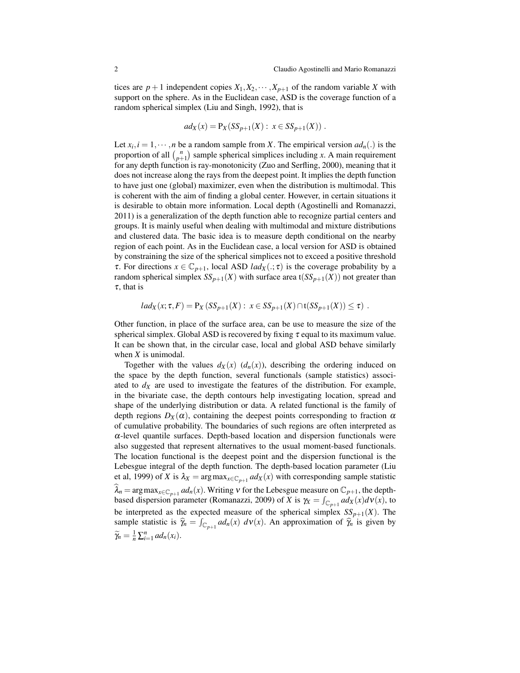tices are  $p+1$  independent copies  $X_1, X_2, \dots, X_{p+1}$  of the random variable X with support on the sphere. As in the Euclidean case, ASD is the coverage function of a random spherical simplex (Liu and Singh, 1992), that is

$$
ad_X(x) = P_X(SS_{p+1}(X) : x \in SS_{p+1}(X)).
$$

Let  $x_i$ ,  $i = 1, \dots, n$  be a random sample from *X*. The empirical version  $ad_n(.)$  is the proportion of all  $\binom{n}{p+1}$  sample spherical simplices including *x*. A main requirement for any depth function is ray-monotonicity (Zuo and Serfling, 2000), meaning that it does not increase along the rays from the deepest point. It implies the depth function to have just one (global) maximizer, even when the distribution is multimodal. This is coherent with the aim of finding a global center. However, in certain situations it is desirable to obtain more information. Local depth (Agostinelli and Romanazzi, 2011) is a generalization of the depth function able to recognize partial centers and groups. It is mainly useful when dealing with multimodal and mixture distributions and clustered data. The basic idea is to measure depth conditional on the nearby region of each point. As in the Euclidean case, a local version for ASD is obtained by constraining the size of the spherical simplices not to exceed a positive threshold *τ*. For directions *x* ∈  $\mathbb{C}_{p+1}$ , local ASD *lad<sub>X</sub>*( $\cdot$ ; *τ*) is the coverage probability by a random spherical simplex  $SS_{p+1}(X)$  with surface area t( $SS_{p+1}(X)$ ) not greater than  $\tau$ , that is

$$
lad_X(x; \tau, F) = P_X(SS_{p+1}(X) : x \in SS_{p+1}(X) \cap t(SS_{p+1}(X)) \leq \tau).
$$

Other function, in place of the surface area, can be use to measure the size of the spherical simplex. Global ASD is recovered by fixing  $\tau$  equal to its maximum value. It can be shown that, in the circular case, local and global ASD behave similarly when *X* is unimodal.

Together with the values  $d_X(x)$   $(d_n(x))$ , describing the ordering induced on the space by the depth function, several functionals (sample statistics) associated to  $d<sub>X</sub>$  are used to investigate the features of the distribution. For example, in the bivariate case, the depth contours help investigating location, spread and shape of the underlying distribution or data. A related functional is the family of depth regions  $D_X(\alpha)$ , containing the deepest points corresponding to fraction  $\alpha$ of cumulative probability. The boundaries of such regions are often interpreted as  $\alpha$ -level quantile surfaces. Depth-based location and dispersion functionals were also suggested that represent alternatives to the usual moment-based functionals. The location functional is the deepest point and the dispersion functional is the Lebesgue integral of the depth function. The depth-based location parameter (Liu et al, 1999) of *X* is  $\lambda_X = \arg \max_{x \in \mathbb{C}_{p+1}} ad_X(x)$  with corresponding sample statistic  $\widehat{\lambda}_n = \arg \max_{x \in \mathbb{C}_{p+1}} ad_n(x)$ . Writing  $v$  for the Lebesgue measure on  $\mathbb{C}_{p+1}$ , the depthbased dispersion parameter (Romanazzi, 2009) of *X* is  $\gamma_X = \int_{\mathbb{C}_{p+1}} a d_X(x) dV(x)$ , to be interpreted as the expected measure of the spherical simplex  $SS_{p+1}(X)$ . The sample statistic is  $\hat{\gamma}_n = \int_{\mathbb{C}_{p+1}} a d_n(x) d\nu(x)$ . An approximation of  $\hat{\gamma}_n$  is given by  $\widetilde{\gamma}_n = \frac{1}{n} \sum_{i=1}^n ad_n(x_i).$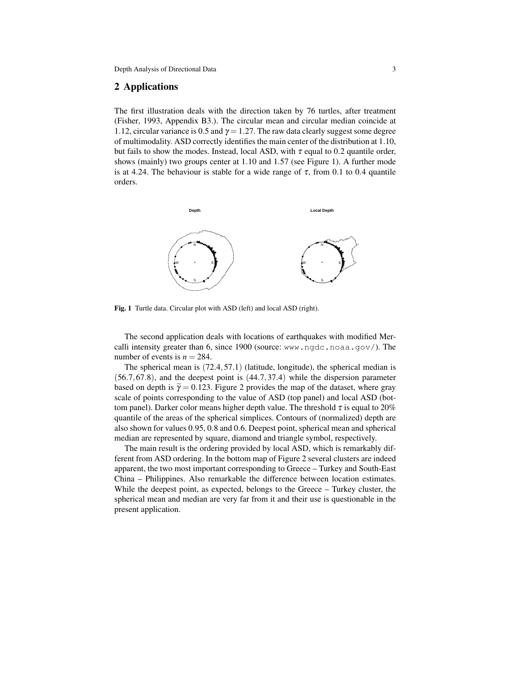## 2 Applications

The first illustration deals with the direction taken by 76 turtles, after treatment (Fisher, 1993, Appendix B3.). The circular mean and circular median coincide at 1.12, circular variance is 0.5 and  $\gamma = 1.27$ . The raw data clearly suggest some degree of multimodality. ASD correctly identifies the main center of the distribution at 1.10, but fails to show the modes. Instead, local ASD, with  $\tau$  equal to 0.2 quantile order, shows (mainly) two groups center at 1.10 and 1.57 (see Figure 1). A further mode is at 4.24. The behaviour is stable for a wide range of  $\tau$ , from 0.1 to 0.4 quantile orders.



Fig. 1 Turtle data. Circular plot with ASD (left) and local ASD (right).

The second application deals with locations of earthquakes with modified Mercalli intensity greater than 6, since 1900 (source: www.ngdc.noaa.gov/). The number of events is  $n = 284$ .

The spherical mean is (72.4,57.1) (latitude, longitude), the spherical median is (56.7,67.8), and the deepest point is (44.7,37.4) while the dispersion parameter based on depth is  $\tilde{\gamma} = 0.123$ . Figure 2 provides the map of the dataset, where gray scale of points corresponding to the value of ASD (top panel) and local ASD (bottom panel). Darker color means higher depth value. The threshold  $\tau$  is equal to 20% quantile of the areas of the spherical simplices. Contours of (normalized) depth are also shown for values 0.95, 0.8 and 0.6. Deepest point, spherical mean and spherical median are represented by square, diamond and triangle symbol, respectively.

The main result is the ordering provided by local ASD, which is remarkably different from ASD ordering. In the bottom map of Figure 2 several clusters are indeed apparent, the two most important corresponding to Greece – Turkey and South-East China – Philippines. Also remarkable the difference between location estimates. While the deepest point, as expected, belongs to the Greece – Turkey cluster, the spherical mean and median are very far from it and their use is questionable in the present application.